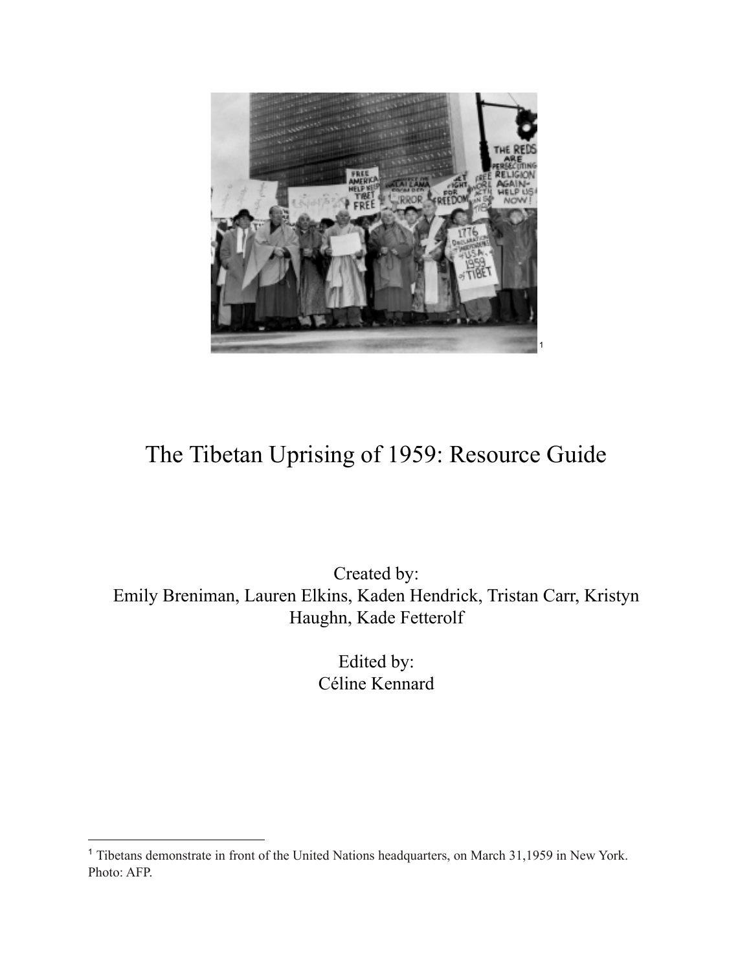

# The Tibetan Uprising of 1959: Resource Guide

Created by: Emily Breniman, Lauren Elkins, Kaden Hendrick, Tristan Carr, Kristyn Haughn, Kade Fetterolf

> Edited by: Céline Kennard

<sup>&</sup>lt;sup>1</sup> Tibetans demonstrate in front of the United Nations headquarters, on March 31,1959 in New York. Photo: AFP.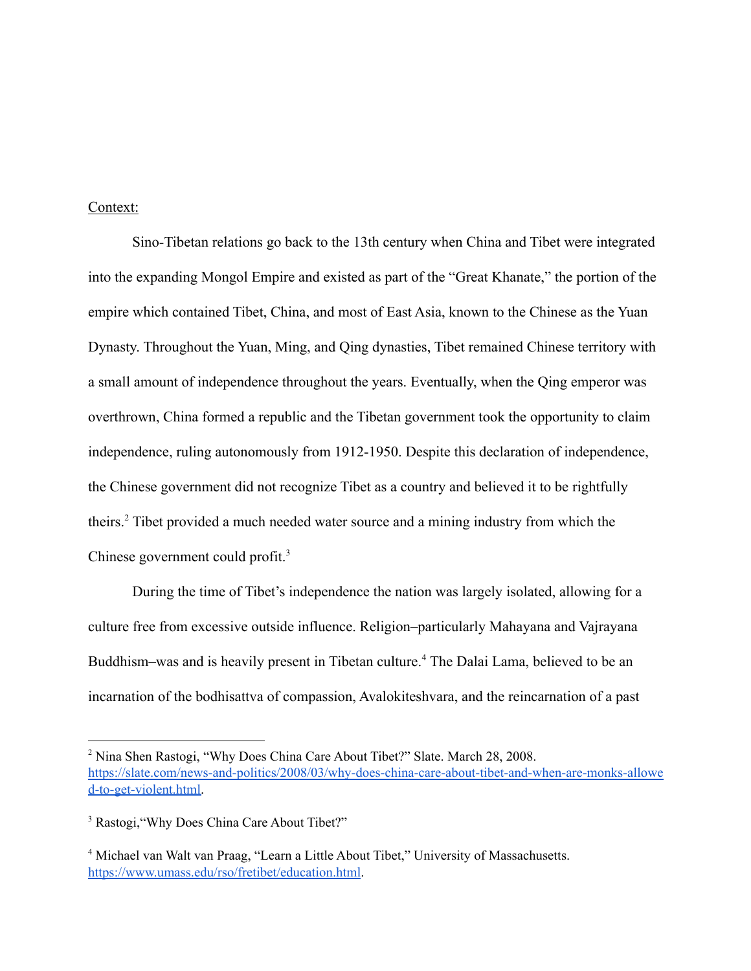## Context:

Sino-Tibetan relations go back to the 13th century when China and Tibet were integrated into the expanding Mongol Empire and existed as part of the "Great Khanate," the portion of the empire which contained Tibet, China, and most of East Asia, known to the Chinese as the Yuan Dynasty. Throughout the Yuan, Ming, and Qing dynasties, Tibet remained Chinese territory with a small amount of independence throughout the years. Eventually, when the Qing emperor was overthrown, China formed a republic and the Tibetan government took the opportunity to claim independence, ruling autonomously from 1912-1950. Despite this declaration of independence, the Chinese government did not recognize Tibet as a country and believed it to be rightfully theirs.<sup>2</sup> Tibet provided a much needed water source and a mining industry from which the Chinese government could profit.<sup>3</sup>

During the time of Tibet's independence the nation was largely isolated, allowing for a culture free from excessive outside influence. Religion–particularly Mahayana and Vajrayana Buddhism–was and is heavily present in Tibetan culture.<sup>4</sup> The Dalai Lama, believed to be an incarnation of the bodhisattva of compassion, Avalokiteshvara, and the reincarnation of a past

<sup>2</sup> Nina Shen Rastogi, "Why Does China Care About Tibet?" Slate. March 28, 2008. [https://slate.com/news-and-politics/2008/03/why-does-china-care-about-tibet-and-when-are-monks-allowe](https://slate.com/news-and-politics/2008/03/why-does-china-care-about-tibet-and-when-are-monks-allowed-to-get-violent.html) [d-to-get-violent.html.](https://slate.com/news-and-politics/2008/03/why-does-china-care-about-tibet-and-when-are-monks-allowed-to-get-violent.html)

<sup>&</sup>lt;sup>3</sup> Rastogi, "Why Does China Care About Tibet?"

<sup>&</sup>lt;sup>4</sup> Michael van Walt van Praag, "Learn a Little About Tibet," University of Massachusetts. <https://www.umass.edu/rso/fretibet/education.html>.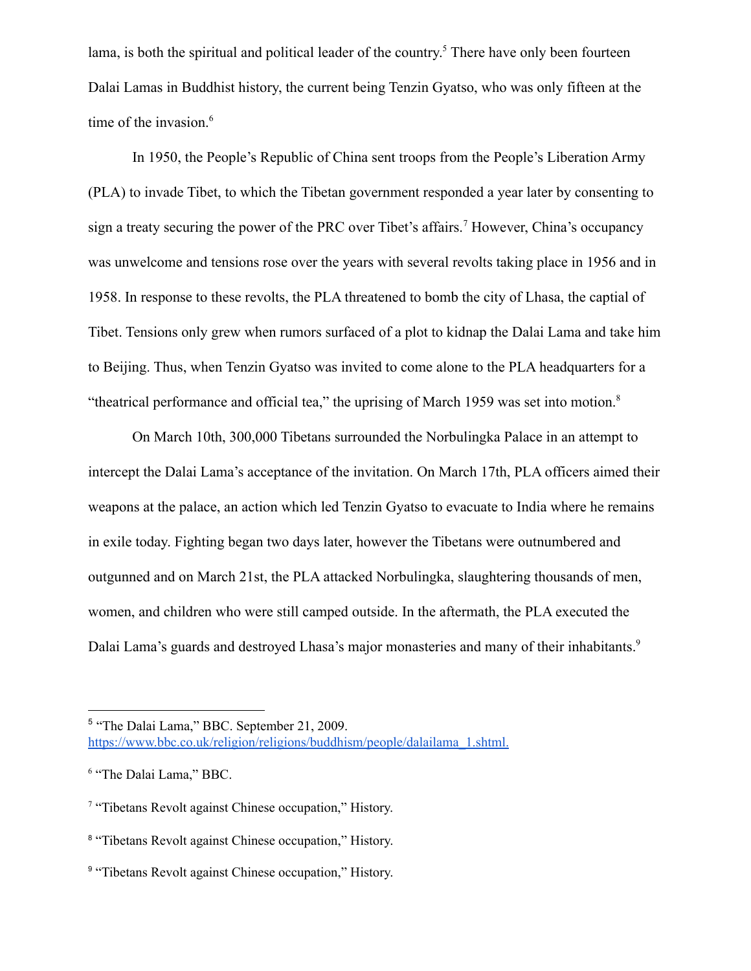lama, is both the spiritual and political leader of the country.<sup>5</sup> There have only been fourteen Dalai Lamas in Buddhist history, the current being Tenzin Gyatso, who was only fifteen at the time of the invasion.<sup>6</sup>

In 1950, the People's Republic of China sent troops from the People's Liberation Army (PLA) to invade Tibet, to which the Tibetan government responded a year later by consenting to sign a treaty securing the power of the PRC over Tibet's affairs.<sup>7</sup> However, China's occupancy was unwelcome and tensions rose over the years with several revolts taking place in 1956 and in 1958. In response to these revolts, the PLA threatened to bomb the city of Lhasa, the captial of Tibet. Tensions only grew when rumors surfaced of a plot to kidnap the Dalai Lama and take him to Beijing. Thus, when Tenzin Gyatso was invited to come alone to the PLA headquarters for a "theatrical performance and official tea," the uprising of March 1959 was set into motion. $8$ 

On March 10th, 300,000 Tibetans surrounded the Norbulingka Palace in an attempt to intercept the Dalai Lama's acceptance of the invitation. On March 17th, PLA officers aimed their weapons at the palace, an action which led Tenzin Gyatso to evacuate to India where he remains in exile today. Fighting began two days later, however the Tibetans were outnumbered and outgunned and on March 21st, the PLA attacked Norbulingka, slaughtering thousands of men, women, and children who were still camped outside. In the aftermath, the PLA executed the Dalai Lama's guards and destroyed Lhasa's major monasteries and many of their inhabitants.<sup>9</sup>

<sup>5</sup> "The Dalai Lama," BBC. September 21, 2009. [https://www.bbc.co.uk/religion/religions/buddhism/people/dalailama\\_1.shtml.](https://www.bbc.co.uk/religion/religions/buddhism/people/dalailama_1.shtml.)

<sup>6</sup> "The Dalai Lama," BBC.

<sup>&</sup>lt;sup>7</sup> "Tibetans Revolt against Chinese occupation," History.

<sup>&</sup>lt;sup>8</sup> "Tibetans Revolt against Chinese occupation," History.

<sup>&</sup>lt;sup>9</sup> "Tibetans Revolt against Chinese occupation," History.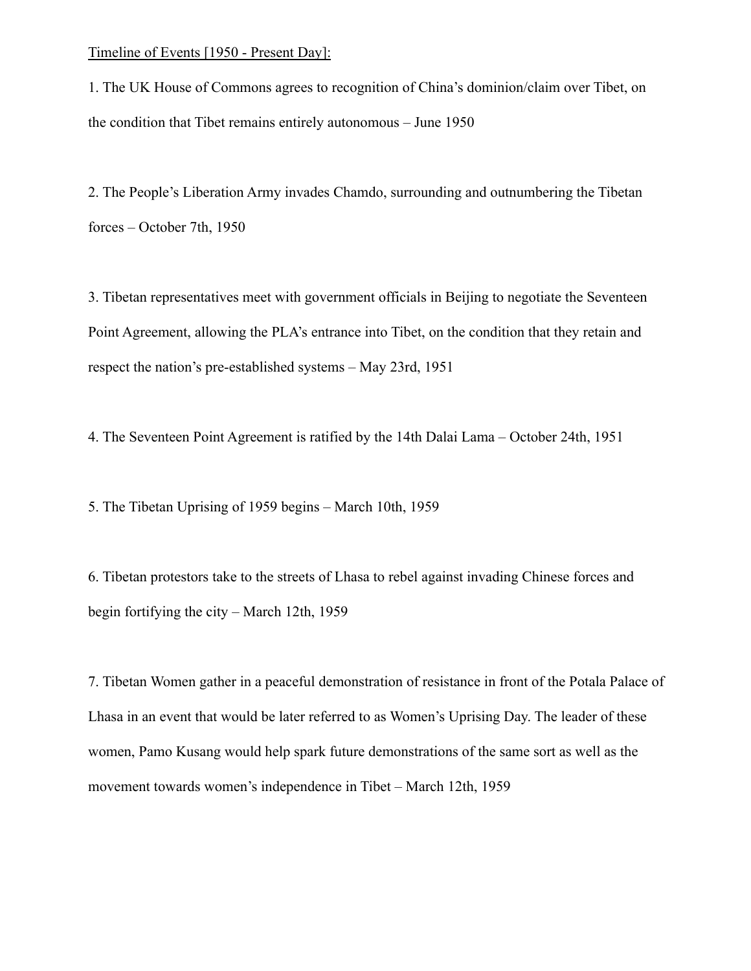#### Timeline of Events [1950 - Present Day]:

1. The UK House of Commons agrees to recognition of China's dominion/claim over Tibet, on the condition that Tibet remains entirely autonomous – June 1950

2. The People's Liberation Army invades Chamdo, surrounding and outnumbering the Tibetan forces – October 7th, 1950

3. Tibetan representatives meet with government officials in Beijing to negotiate the Seventeen Point Agreement, allowing the PLA's entrance into Tibet, on the condition that they retain and respect the nation's pre-established systems – May 23rd, 1951

4. The Seventeen Point Agreement is ratified by the 14th Dalai Lama – October 24th, 1951

5. The Tibetan Uprising of 1959 begins – March 10th, 1959

6. Tibetan protestors take to the streets of Lhasa to rebel against invading Chinese forces and begin fortifying the city – March 12th, 1959

7. Tibetan Women gather in a peaceful demonstration of resistance in front of the Potala Palace of Lhasa in an event that would be later referred to as Women's Uprising Day. The leader of these women, Pamo Kusang would help spark future demonstrations of the same sort as well as the movement towards women's independence in Tibet – March 12th, 1959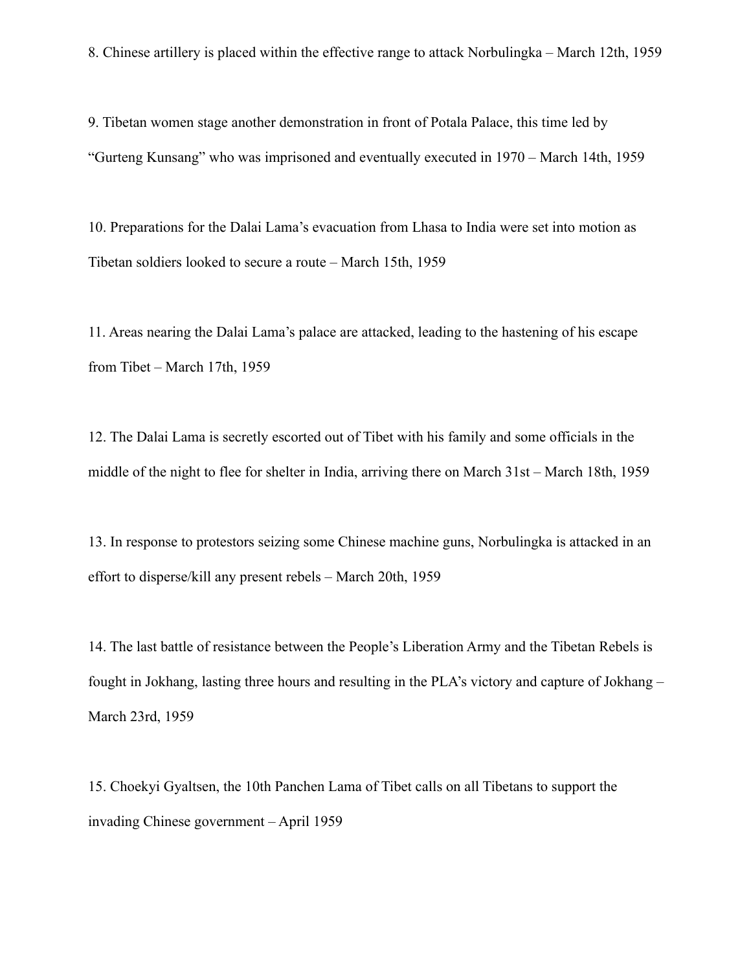8. Chinese artillery is placed within the effective range to attack Norbulingka – March 12th, 1959

9. Tibetan women stage another demonstration in front of Potala Palace, this time led by "Gurteng Kunsang" who was imprisoned and eventually executed in 1970 – March 14th, 1959

10. Preparations for the Dalai Lama's evacuation from Lhasa to India were set into motion as Tibetan soldiers looked to secure a route – March 15th, 1959

11. Areas nearing the Dalai Lama's palace are attacked, leading to the hastening of his escape from Tibet – March 17th, 1959

12. The Dalai Lama is secretly escorted out of Tibet with his family and some officials in the middle of the night to flee for shelter in India, arriving there on March 31st – March 18th, 1959

13. In response to protestors seizing some Chinese machine guns, Norbulingka is attacked in an effort to disperse/kill any present rebels – March 20th, 1959

14. The last battle of resistance between the People's Liberation Army and the Tibetan Rebels is fought in Jokhang, lasting three hours and resulting in the PLA's victory and capture of Jokhang – March 23rd, 1959

15. Choekyi Gyaltsen, the 10th Panchen Lama of Tibet calls on all Tibetans to support the invading Chinese government – April 1959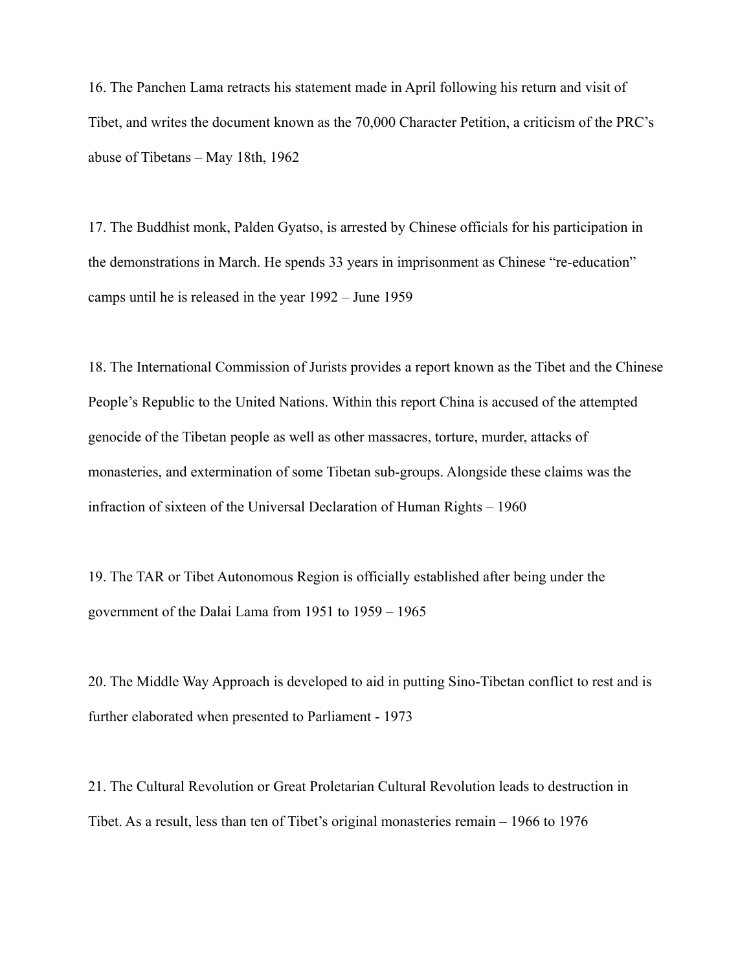16. The Panchen Lama retracts his statement made in April following his return and visit of Tibet, and writes the document known as the 70,000 Character Petition, a criticism of the PRC's abuse of Tibetans – May 18th, 1962

17. The Buddhist monk, Palden Gyatso, is arrested by Chinese officials for his participation in the demonstrations in March. He spends 33 years in imprisonment as Chinese "re-education" camps until he is released in the year 1992 – June 1959

18. The International Commission of Jurists provides a report known as the Tibet and the Chinese People's Republic to the United Nations. Within this report China is accused of the attempted genocide of the Tibetan people as well as other massacres, torture, murder, attacks of monasteries, and extermination of some Tibetan sub-groups. Alongside these claims was the infraction of sixteen of the Universal Declaration of Human Rights – 1960

19. The TAR or Tibet Autonomous Region is officially established after being under the government of the Dalai Lama from 1951 to 1959 – 1965

20. The Middle Way Approach is developed to aid in putting Sino-Tibetan conflict to rest and is further elaborated when presented to Parliament - 1973

21. The Cultural Revolution or Great Proletarian Cultural Revolution leads to destruction in Tibet. As a result, less than ten of Tibet's original monasteries remain – 1966 to 1976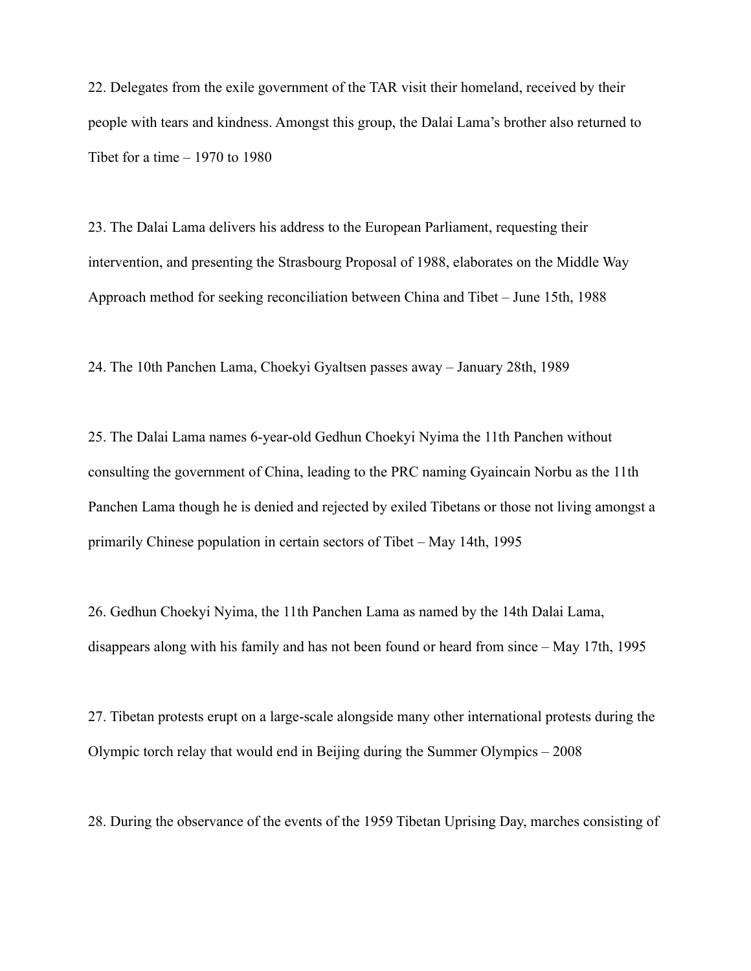22. Delegates from the exile government of the TAR visit their homeland, received by their people with tears and kindness. Amongst this group, the Dalai Lama's brother also returned to Tibet for a time  $-1970$  to 1980

23. The Dalai Lama delivers his address to the European Parliament, requesting their intervention, and presenting the Strasbourg Proposal of 1988, elaborates on the Middle Way Approach method for seeking reconciliation between China and Tibet – June 15th, 1988

24. The 10th Panchen Lama, Choekyi Gyaltsen passes away – January 28th, 1989

25. The Dalai Lama names 6-year-old Gedhun Choekyi Nyima the 11th Panchen without consulting the government of China, leading to the PRC naming Gyaincain Norbu as the 11th Panchen Lama though he is denied and rejected by exiled Tibetans or those not living amongst a primarily Chinese population in certain sectors of Tibet – May 14th, 1995

26. Gedhun Choekyi Nyima, the 11th Panchen Lama as named by the 14th Dalai Lama, disappears along with his family and has not been found or heard from since – May 17th, 1995

27. Tibetan protests erupt on a large-scale alongside many other international protests during the Olympic torch relay that would end in Beijing during the Summer Olympics – 2008

28. During the observance of the events of the 1959 Tibetan Uprising Day, marches consisting of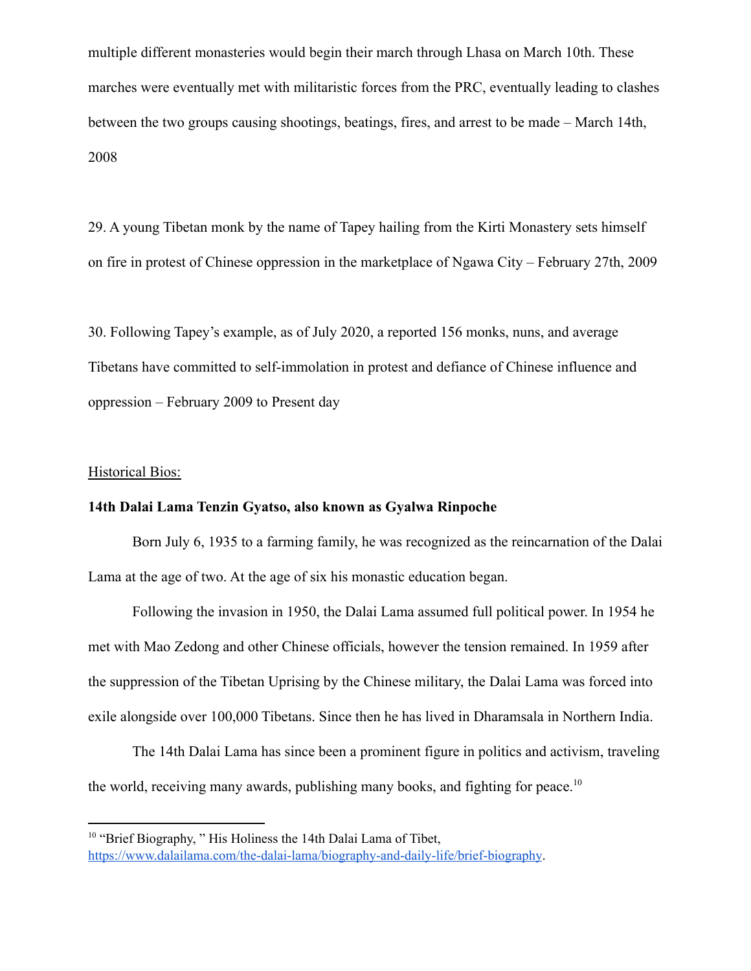multiple different monasteries would begin their march through Lhasa on March 10th. These marches were eventually met with militaristic forces from the PRC, eventually leading to clashes between the two groups causing shootings, beatings, fires, and arrest to be made – March 14th, 2008

29. A young Tibetan monk by the name of Tapey hailing from the Kirti Monastery sets himself on fire in protest of Chinese oppression in the marketplace of Ngawa City – February 27th, 2009

30. Following Tapey's example, as of July 2020, a reported 156 monks, nuns, and average Tibetans have committed to self-immolation in protest and defiance of Chinese influence and oppression – February 2009 to Present day

### Historical Bios:

## **14th Dalai Lama Tenzin Gyatso, also known as Gyalwa Rinpoche**

Born July 6, 1935 to a farming family, he was recognized as the reincarnation of the Dalai Lama at the age of two. At the age of six his monastic education began.

Following the invasion in 1950, the Dalai Lama assumed full political power. In 1954 he met with Mao Zedong and other Chinese officials, however the tension remained. In 1959 after the suppression of the Tibetan Uprising by the Chinese military, the Dalai Lama was forced into exile alongside over 100,000 Tibetans. Since then he has lived in Dharamsala in Northern India.

The 14th Dalai Lama has since been a prominent figure in politics and activism, traveling the world, receiving many awards, publishing many books, and fighting for peace.<sup>10</sup>

<sup>&</sup>lt;sup>10</sup> "Brief Biography, " His Holiness the 14th Dalai Lama of Tibet, <https://www.dalailama.com/the-dalai-lama/biography-and-daily-life/brief-biography>.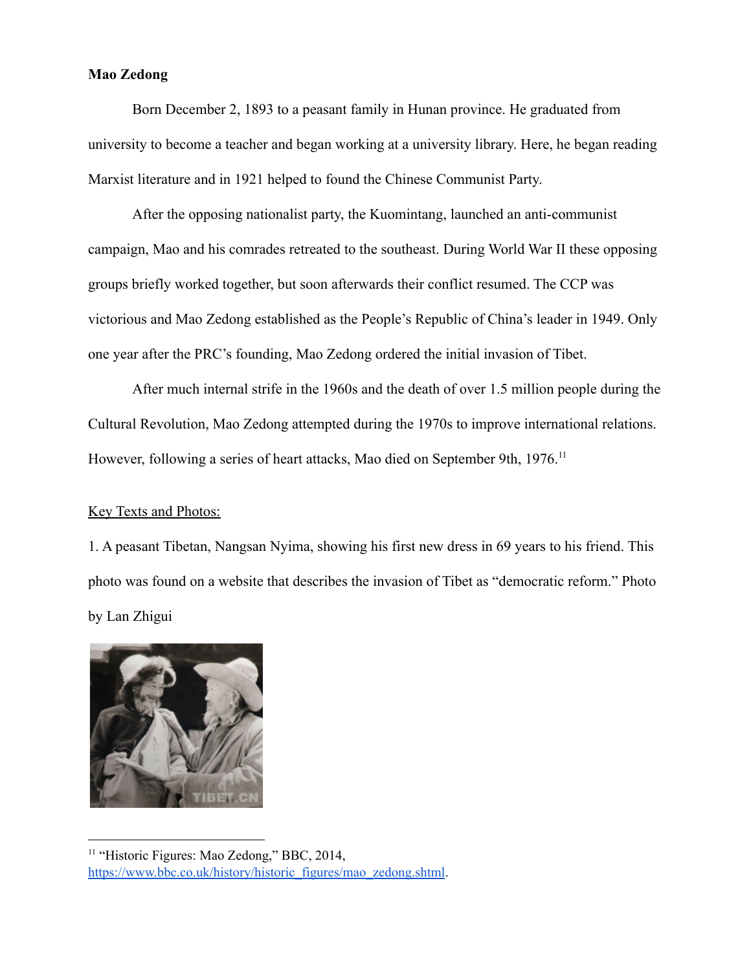# **Mao Zedong**

Born December 2, 1893 to a peasant family in Hunan province. He graduated from university to become a teacher and began working at a university library. Here, he began reading Marxist literature and in 1921 helped to found the Chinese Communist Party.

After the opposing nationalist party, the Kuomintang, launched an anti-communist campaign, Mao and his comrades retreated to the southeast. During World War II these opposing groups briefly worked together, but soon afterwards their conflict resumed. The CCP was victorious and Mao Zedong established as the People's Republic of China's leader in 1949. Only one year after the PRC's founding, Mao Zedong ordered the initial invasion of Tibet.

After much internal strife in the 1960s and the death of over 1.5 million people during the Cultural Revolution, Mao Zedong attempted during the 1970s to improve international relations. However, following a series of heart attacks, Mao died on September 9th, 1976.<sup>11</sup>

## Key Texts and Photos:

1. A peasant Tibetan, Nangsan Nyima, showing his first new dress in 69 years to his friend. This photo was found on a website that describes the invasion of Tibet as "democratic reform." Photo by Lan Zhigui



<sup>&</sup>lt;sup>11</sup> "Historic Figures: Mao Zedong," BBC, 2014, [https://www.bbc.co.uk/history/historic\\_figures/mao\\_zedong.shtml](https://www.bbc.co.uk/history/historic_figures/mao_zedong.shtml).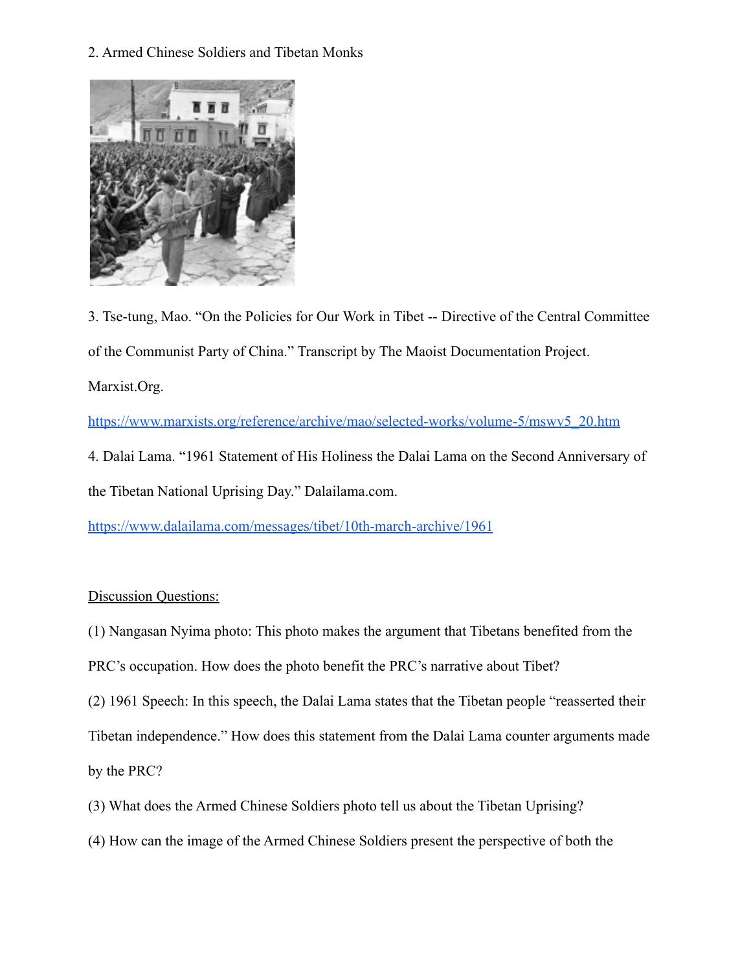2. Armed Chinese Soldiers and Tibetan Monks



3. Tse-tung, Mao. "On the Policies for Our Work in Tibet -- Directive of the Central Committee of the Communist Party of China." Transcript by The Maoist Documentation Project. Marxist.Org.

[https://www.marxists.org/reference/archive/mao/selected-works/volume-5/mswv5\\_20.htm](https://www.marxists.org/reference/archive/mao/selected-works/volume-5/mswv5_20.htm)

4. Dalai Lama. "1961 Statement of His Holiness the Dalai Lama on the Second Anniversary of the Tibetan National Uprising Day." Dalailama.com.

<https://www.dalailama.com/messages/tibet/10th-march-archive/1961>

# Discussion Questions:

- (1) Nangasan Nyima photo: This photo makes the argument that Tibetans benefited from the
- PRC's occupation. How does the photo benefit the PRC's narrative about Tibet?
- (2) 1961 Speech: In this speech, the Dalai Lama states that the Tibetan people "reasserted their

Tibetan independence." How does this statement from the Dalai Lama counter arguments made

by the PRC?

- (3) What does the Armed Chinese Soldiers photo tell us about the Tibetan Uprising?
- (4) How can the image of the Armed Chinese Soldiers present the perspective of both the